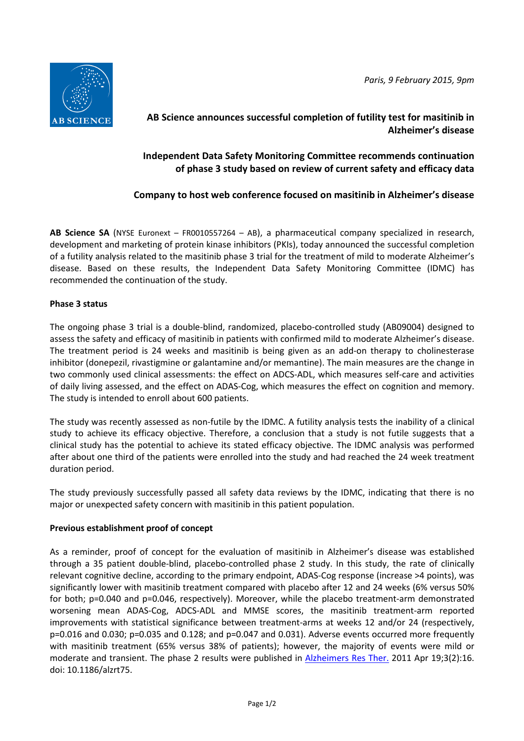*Paris, 9 February 2015, 9pm* 



# **AB Science announces successful completion of futility test for masitinib in Alzheimer's disease**

## **Independent Data Safety Monitoring Committee recommends continuation of phase 3 study based on review of current safety and efficacy data**

# **Company to host web conference focused on masitinib in Alzheimer's disease**

**AB Science SA** (NYSE Euronext – FR0010557264 – AB), a pharmaceutical company specialized in research, development and marketing of protein kinase inhibitors (PKIs), today announced the successful completion of a futility analysis related to the masitinib phase 3 trial for the treatment of mild to moderate Alzheimer's disease. Based on these results, the Independent Data Safety Monitoring Committee (IDMC) has recommended the continuation of the study.

## **Phase 3 status**

The ongoing phase 3 trial is a double-blind, randomized, placebo-controlled study (AB09004) designed to assess the safety and efficacy of masitinib in patients with confirmed mild to moderate Alzheimer's disease. The treatment period is 24 weeks and masitinib is being given as an add-on therapy to cholinesterase inhibitor (donepezil, rivastigmine or galantamine and/or memantine). The main measures are the change in two commonly used clinical assessments: the effect on ADCS-ADL, which measures self-care and activities of daily living assessed, and the effect on ADAS-Cog, which measures the effect on cognition and memory. The study is intended to enroll about 600 patients.

The study was recently assessed as non-futile by the IDMC. A futility analysis tests the inability of a clinical study to achieve its efficacy objective. Therefore, a conclusion that a study is not futile suggests that a clinical study has the potential to achieve its stated efficacy objective. The IDMC analysis was performed after about one third of the patients were enrolled into the study and had reached the 24 week treatment duration period.

The study previously successfully passed all safety data reviews by the IDMC, indicating that there is no major or unexpected safety concern with masitinib in this patient population.

## **Previous establishment proof of concept**

As a reminder, proof of concept for the evaluation of masitinib in Alzheimer's disease was established through a 35 patient double-blind, placebo-controlled phase 2 study. In this study, the rate of clinically relevant cognitive decline, according to the primary endpoint, ADAS-Cog response (increase >4 points), was significantly lower with masitinib treatment compared with placebo after 12 and 24 weeks (6% versus 50% for both; p=0.040 and p=0.046, respectively). Moreover, while the placebo treatment-arm demonstrated worsening mean ADAS-Cog, ADCS-ADL and MMSE scores, the masitinib treatment-arm reported improvements with statistical significance between treatment-arms at weeks 12 and/or 24 (respectively, p=0.016 and 0.030; p=0.035 and 0.128; and p=0.047 and 0.031). Adverse events occurred more frequently with masitinib treatment (65% versus 38% of patients); however, the majority of events were mild or moderate and transient. The phase 2 results were published in Alzheimers Res Ther. 2011 Apr 19;3(2):16. doi: 10.1186/alzrt75.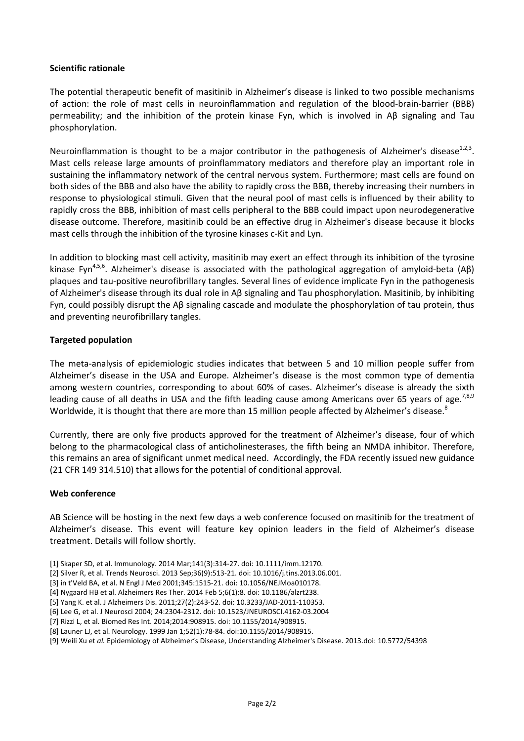### **Scientific rationale**

The potential therapeutic benefit of masitinib in Alzheimer's disease is linked to two possible mechanisms of action: the role of mast cells in neuroinflammation and regulation of the blood-brain-barrier (BBB) permeability; and the inhibition of the protein kinase Fyn, which is involved in Aβ signaling and Tau phosphorylation.

Neuroinflammation is thought to be a major contributor in the pathogenesis of Alzheimer's disease $^{1,2,3}$ . Mast cells release large amounts of proinflammatory mediators and therefore play an important role in sustaining the inflammatory network of the central nervous system. Furthermore; mast cells are found on both sides of the BBB and also have the ability to rapidly cross the BBB, thereby increasing their numbers in response to physiological stimuli. Given that the neural pool of mast cells is influenced by their ability to rapidly cross the BBB, inhibition of mast cells peripheral to the BBB could impact upon neurodegenerative disease outcome. Therefore, masitinib could be an effective drug in Alzheimer's disease because it blocks mast cells through the inhibition of the tyrosine kinases c-Kit and Lyn.

In addition to blocking mast cell activity, masitinib may exert an effect through its inhibition of the tyrosine kinase Fyn<sup>4,5,6</sup>. Alzheimer's disease is associated with the pathological aggregation of amyloid-beta (Aβ) plaques and tau-positive neurofibrillary tangles. Several lines of evidence implicate Fyn in the pathogenesis of Alzheimer's disease through its dual role in Aβ signaling and Tau phosphorylation. Masitinib, by inhibiting Fyn, could possibly disrupt the Aβ signaling cascade and modulate the phosphorylation of tau protein, thus and preventing neurofibrillary tangles.

### **Targeted population**

The meta-analysis of epidemiologic studies indicates that between 5 and 10 million people suffer from Alzheimer's disease in the USA and Europe. Alzheimer's disease is the most common type of dementia among western countries, corresponding to about 60% of cases. Alzheimer's disease is already the sixth leading cause of all deaths in USA and the fifth leading cause among Americans over 65 years of age.<sup>7,8,9</sup> Worldwide, it is thought that there are more than 15 million people affected by Alzheimer's disease.<sup>8</sup>

Currently, there are only five products approved for the treatment of Alzheimer's disease, four of which belong to the pharmacological class of anticholinesterases, the fifth being an NMDA inhibitor. Therefore, this remains an area of significant unmet medical need. Accordingly, the FDA recently issued new guidance (21 CFR 149 314.510) that allows for the potential of conditional approval.

### **Web conference**

AB Science will be hosting in the next few days a web conference focused on masitinib for the treatment of Alzheimer's disease. This event will feature key opinion leaders in the field of Alzheimer's disease treatment. Details will follow shortly.

- [1] Skaper SD, et al. Immunology. 2014 Mar;141(3):314-27. doi: 10.1111/imm.12170.
- [2] Silver R, et al. Trends Neurosci. 2013 Sep;36(9):513-21. doi: 10.1016/j.tins.2013.06.001.
- [3] in t'Veld BA, et al. N Engl J Med 2001;345:1515-21. doi: 10.1056/NEJMoa010178.
- [4] Nygaard HB et al. Alzheimers Res Ther. 2014 Feb 5;6(1):8. doi: 10.1186/alzrt238.
- [5] Yang K. et al. J Alzheimers Dis. 2011;27(2):243-52. doi: 10.3233/JAD-2011-110353.

[6] Lee G, et al. J Neurosci 2004; 24:2304-2312. doi: 10.1523/JNEUROSCI.4162-03.2004

[9] Weili Xu et *al.* Epidemiology of Alzheimer's Disease, Understanding Alzheimer's Disease. 2013.doi: 10.5772/54398

<sup>[7]</sup> Rizzi L, et al. Biomed Res Int. 2014;2014:908915. doi: 10.1155/2014/908915.

<sup>[8]</sup> Launer LJ, et al. Neurology. 1999 Jan 1;52(1):78-84. doi:10.1155/2014/908915.